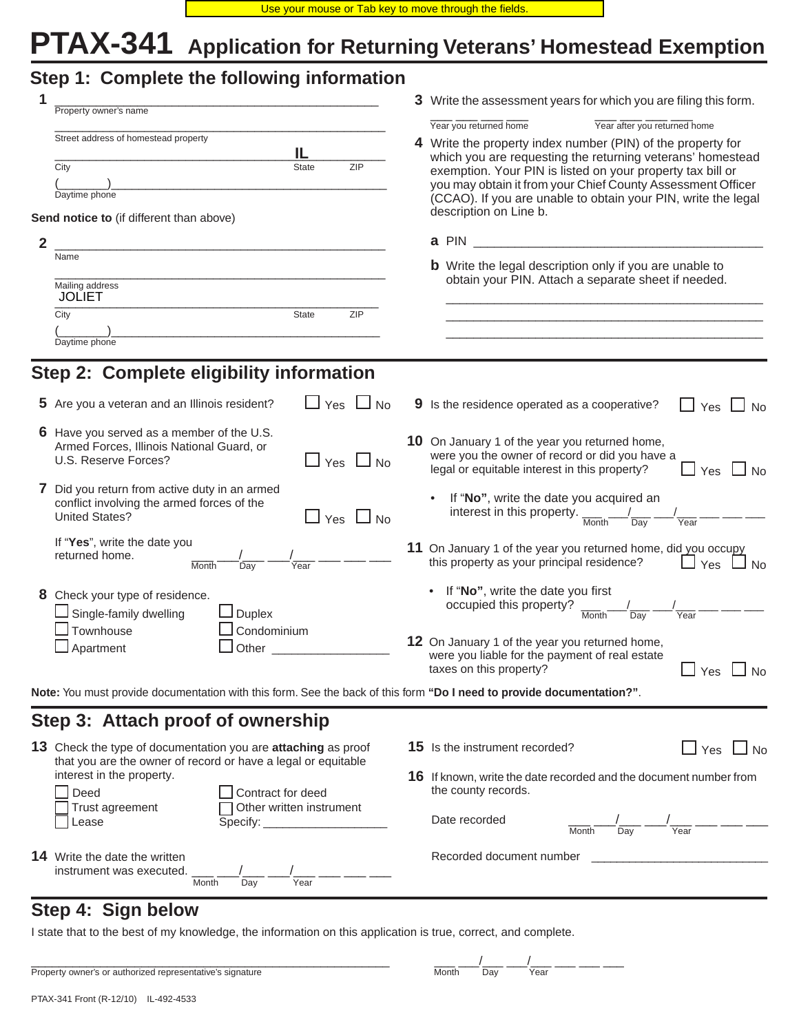# **PTAX-341 Application for Returning Veterans' Homestead Exemption**

|                | Step 1: Complete the following information                                                                                                   |  |                                                                                                                                                                                                                                                                                                                                                                                   |  |  |
|----------------|----------------------------------------------------------------------------------------------------------------------------------------------|--|-----------------------------------------------------------------------------------------------------------------------------------------------------------------------------------------------------------------------------------------------------------------------------------------------------------------------------------------------------------------------------------|--|--|
| 1              | Property owner's name                                                                                                                        |  | 3 Write the assessment years for which you are filing this form.                                                                                                                                                                                                                                                                                                                  |  |  |
|                | Street address of homestead property<br>IL<br><b>ZIP</b><br>City<br><b>State</b><br>Daytime phone                                            |  | Year after you returned home<br>Year you returned home<br>4 Write the property index number (PIN) of the property for<br>which you are requesting the returning veterans' homestead<br>exemption. Your PIN is listed on your property tax bill or<br>you may obtain it from your Chief County Assessment Officer<br>(CCAO). If you are unable to obtain your PIN, write the legal |  |  |
| $\overline{2}$ | Send notice to (if different than above)<br><u> 1980 - Jan James James Barnett, fransk politik (d. 1980)</u>                                 |  | description on Line b.<br>a PIN                                                                                                                                                                                                                                                                                                                                                   |  |  |
|                | Name<br>Mailing address<br><b>JOLIET</b>                                                                                                     |  | <b>b</b> Write the legal description only if you are unable to<br>obtain your PIN. Attach a separate sheet if needed.                                                                                                                                                                                                                                                             |  |  |
|                | ZIP<br>City<br><b>State</b><br>Daytime phone                                                                                                 |  | and the control of the control of the control of the control of the control of the control of the control of the                                                                                                                                                                                                                                                                  |  |  |
|                | Step 2: Complete eligibility information                                                                                                     |  |                                                                                                                                                                                                                                                                                                                                                                                   |  |  |
|                | $\Box$ Yes $\Box$ No<br>5 Are you a veteran and an Illinois resident?                                                                        |  | 9 Is the residence operated as a cooperative?<br>$\sqcup$ Yes $\sqcup$<br>No                                                                                                                                                                                                                                                                                                      |  |  |
|                | 6 Have you served as a member of the U.S.<br>Armed Forces, Illinois National Guard, or<br>U.S. Reserve Forces?<br>$\Box$ Yes $\Box$ No       |  | 10 On January 1 of the year you returned home,<br>were you the owner of record or did you have a<br>legal or equitable interest in this property?<br>$\Box$ Yes<br>N <sub>0</sub>                                                                                                                                                                                                 |  |  |
|                | 7 Did you return from active duty in an armed<br>conflict involving the armed forces of the<br><b>United States?</b><br>$\Box$ Yes $\Box$ No |  | If "No", write the date you acquired an<br>interest in this property.<br>Month<br>Year<br>Day                                                                                                                                                                                                                                                                                     |  |  |
|                | If "Yes", write the date you<br>returned home.<br>Month<br>Dav<br>Year                                                                       |  | 11 On January 1 of the year you returned home, did you occupy<br>this property as your principal residence?<br>Yes<br>No                                                                                                                                                                                                                                                          |  |  |
|                | 8 Check your type of residence.<br>Single-family dwelling<br>Duplex<br>Townhouse<br>Condominium                                              |  | If "No", write the date you first<br>occupied this property?<br>Day<br>Month<br>Year                                                                                                                                                                                                                                                                                              |  |  |
|                | $\Box$ Apartment<br>Other                                                                                                                    |  | 12 On January 1 of the year you returned home,<br>were you liable for the payment of real estate<br>taxes on this property?<br>$\sqcup$ Yes $\sqcup$ No                                                                                                                                                                                                                           |  |  |
|                | Note: You must provide documentation with this form. See the back of this form "Do I need to provide documentation?".                        |  |                                                                                                                                                                                                                                                                                                                                                                                   |  |  |
|                | Step 3: Attach proof of ownership                                                                                                            |  |                                                                                                                                                                                                                                                                                                                                                                                   |  |  |
|                | 13 Check the type of documentation you are <b>attaching</b> as proof<br>that you are the owner of record or have a legal or equitable        |  | $\Box$ Yes $\Box$ No<br><b>15</b> Is the instrument recorded?                                                                                                                                                                                                                                                                                                                     |  |  |
|                | interest in the property.<br>Deed<br>Contract for deed<br>Other written instrument<br>Trust agreement<br>Lease                               |  | 16 If known, write the date recorded and the document number from<br>the county records.                                                                                                                                                                                                                                                                                          |  |  |
|                |                                                                                                                                              |  | Date recorded<br>Year<br>Day<br>Month                                                                                                                                                                                                                                                                                                                                             |  |  |
|                | <b>14</b> Write the date the written<br>instrument was executed.<br>Year<br>Month<br>Day                                                     |  | Recorded document number                                                                                                                                                                                                                                                                                                                                                          |  |  |

# **Step 4: Sign below**

I state that to the best of my knowledge, the information on this application is true, correct, and complete.

| Property owner's or authorized representative's signature | Month | Dav | Year |
|-----------------------------------------------------------|-------|-----|------|